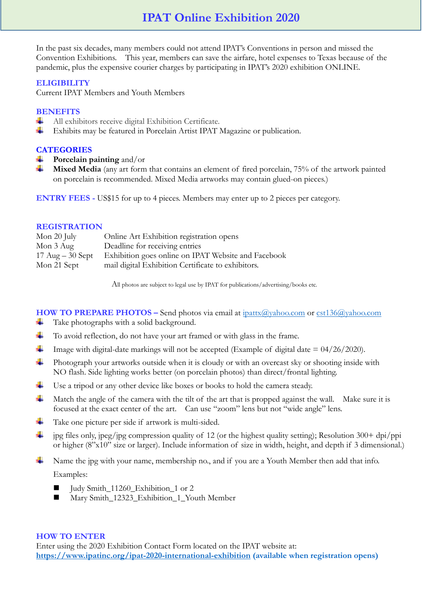In the past six decades, many members could not attend IPAT's Conventions in person and missed the Convention Exhibitions. This year, members can save the airfare, hotel expenses to Texas because of the pandemic, plus the expensive courier charges by participating in IPAT's 2020 exhibition ONLINE.

### **ELIGIBILITY**

Current IPAT Members and Youth Members

# **BENEFITS**

- All exhibitors receive digital Exhibition Certificate.
- ÷ Exhibits may be featured in Porcelain Artist IPAT Magazine or publication.

# **CATEGORIES**

- **Porcelain painting** and/or
- **Mixed Media** (any art form that contains an element of fired porcelain, 75% of the artwork painted on porcelain is recommended. Mixed Media artworks may contain glued-on pieces.)

**ENTRY FEES -** US\$15 for up to 4 pieces. Members may enter up to 2 pieces per category.

### **REGISTRATION**

| Mon 20 July                        | Online Art Exhibition registration opens            |
|------------------------------------|-----------------------------------------------------|
| Mon 3 Aug                          | Deadline for receiving entries                      |
| $17 \text{ Aug} - 30 \text{ Sept}$ | Exhibition goes online on IPAT Website and Facebook |
| Mon 21 Sept                        | mail digital Exhibition Certificate to exhibitors.  |

All photos are subject to legal use by IPAT for publications/advertising/books etc.

**HOW TO PREPARE PHOTOS** – Send photos via email at [ipattx@yahoo.com](mailto:ipattx@yahoo.com) or [cst136@yahoo.com](mailto:cst136@yahoo.com) ٠ Take photographs with a solid background.

- ÷ To avoid reflection, do not have your art framed or with glass in the frame.
- 4. Image with digital-date markings will not be accepted (Example of digital date  $= 04/26/2020$ ).
- ÷. Photograph your artworks outside when it is cloudy or with an overcast sky or shooting inside with NO flash. Side lighting works better (on porcelain photos) than direct/frontal lighting.
- ۰. Use a tripod or any other device like boxes or books to hold the camera steady.
- ₩. Match the angle of the camera with the tilt of the art that is propped against the wall. Make sure it is focused at the exact center of the art. Can use "zoom" lens but not "wide angle" lens.
- ÷ Take one picture per side if artwork is multi-sided.
- ÷ jpg files only, jpeg/jpg compression quality of 12 (or the highest quality setting); Resolution 300+ dpi/ppi or higher (8"x10" size or larger). Include information of size in width, height, and depth if 3 dimensional.)
- Name the jpg with your name, membership no., and if you are a Youth Member then add that info. ۰. Examples:
	- Judy Smith\_11260\_Exhibition\_1 or 2
	- Mary Smith\_12323\_Exhibition\_1\_Youth Member

### **HOW TO ENTER**

Enter using the 2020 Exhibition Contact Form located on the IPAT website at: **<https://www.ipatinc.org/ipat-2020-international-exhibition> (available when registration opens)**